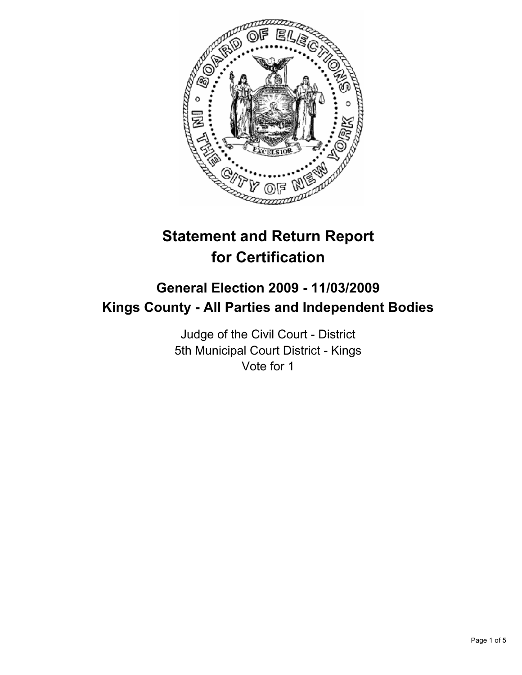

# **Statement and Return Report for Certification**

## **General Election 2009 - 11/03/2009 Kings County - All Parties and Independent Bodies**

Judge of the Civil Court - District 5th Municipal Court District - Kings Vote for 1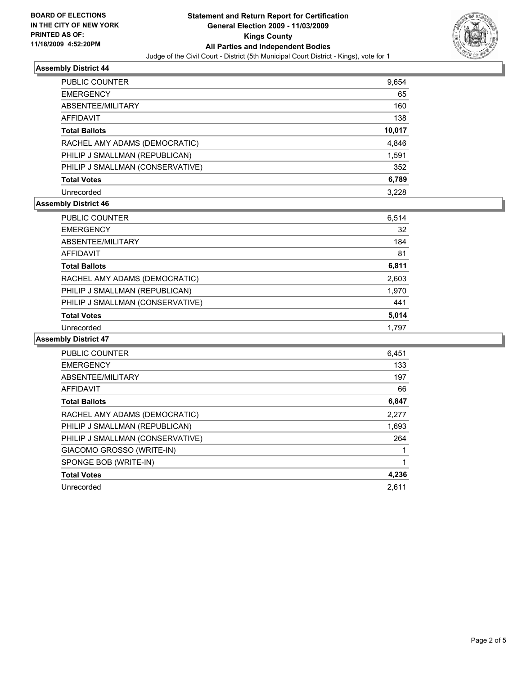

## **Assembly District 44**

| PUBLIC COUNTER                   | 9,654  |
|----------------------------------|--------|
| <b>EMERGENCY</b>                 | 65     |
| ABSENTEE/MILITARY                | 160    |
| <b>AFFIDAVIT</b>                 | 138    |
| <b>Total Ballots</b>             | 10,017 |
| RACHEL AMY ADAMS (DEMOCRATIC)    | 4,846  |
| PHILIP J SMALLMAN (REPUBLICAN)   | 1,591  |
| PHILIP J SMALLMAN (CONSERVATIVE) | 352    |
| <b>Total Votes</b>               | 6,789  |
| Unrecorded                       | 3.228  |

## **Assembly District 46**

| <b>PUBLIC COUNTER</b>            | 6,514 |
|----------------------------------|-------|
| <b>EMERGENCY</b>                 | 32    |
| ABSENTEE/MILITARY                | 184   |
| AFFIDAVIT                        | 81    |
| <b>Total Ballots</b>             | 6,811 |
| RACHEL AMY ADAMS (DEMOCRATIC)    | 2,603 |
| PHILIP J SMALLMAN (REPUBLICAN)   | 1,970 |
| PHILIP J SMALLMAN (CONSERVATIVE) | 441   |
| <b>Total Votes</b>               | 5,014 |
| Unrecorded                       | 1.797 |

#### **Assembly District 47**

| <b>PUBLIC COUNTER</b>            | 6,451 |
|----------------------------------|-------|
| <b>EMERGENCY</b>                 | 133   |
| ABSENTEE/MILITARY                | 197   |
| <b>AFFIDAVIT</b>                 | 66    |
| <b>Total Ballots</b>             | 6,847 |
| RACHEL AMY ADAMS (DEMOCRATIC)    | 2,277 |
| PHILIP J SMALLMAN (REPUBLICAN)   | 1,693 |
| PHILIP J SMALLMAN (CONSERVATIVE) | 264   |
| GIACOMO GROSSO (WRITE-IN)        |       |
| SPONGE BOB (WRITE-IN)            |       |
| <b>Total Votes</b>               | 4,236 |
| Unrecorded                       | 2.611 |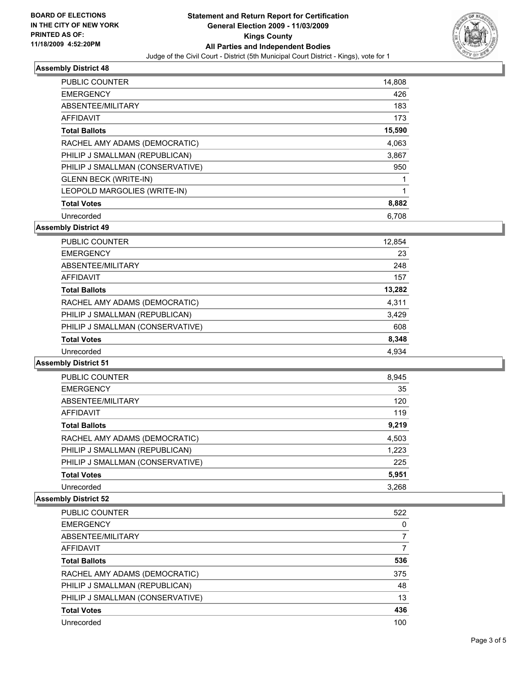

#### **Assembly District 48**

| <b>PUBLIC COUNTER</b>            | 14,808 |
|----------------------------------|--------|
| <b>EMERGENCY</b>                 | 426    |
| ABSENTEE/MILITARY                | 183    |
| AFFIDAVIT                        | 173    |
| <b>Total Ballots</b>             | 15,590 |
| RACHEL AMY ADAMS (DEMOCRATIC)    | 4,063  |
| PHILIP J SMALLMAN (REPUBLICAN)   | 3,867  |
| PHILIP J SMALLMAN (CONSERVATIVE) | 950    |
| <b>GLENN BECK (WRITE-IN)</b>     |        |
| LEOPOLD MARGOLIES (WRITE-IN)     |        |
| <b>Total Votes</b>               | 8,882  |
| Unrecorded                       | 6.708  |

**Assembly District 49**

| PUBLIC COUNTER                   | 12,854 |
|----------------------------------|--------|
| <b>EMERGENCY</b>                 | 23     |
| ABSENTEE/MILITARY                | 248    |
| <b>AFFIDAVIT</b>                 | 157    |
| <b>Total Ballots</b>             | 13,282 |
| RACHEL AMY ADAMS (DEMOCRATIC)    | 4,311  |
| PHILIP J SMALLMAN (REPUBLICAN)   | 3,429  |
| PHILIP J SMALLMAN (CONSERVATIVE) | 608    |
| <b>Total Votes</b>               | 8,348  |
| Unrecorded                       | 4,934  |

**Assembly District 51**

| <b>PUBLIC COUNTER</b>            | 8,945 |
|----------------------------------|-------|
| <b>EMERGENCY</b>                 | 35    |
| ABSENTEE/MILITARY                | 120   |
| <b>AFFIDAVIT</b>                 | 119   |
| <b>Total Ballots</b>             | 9.219 |
| RACHEL AMY ADAMS (DEMOCRATIC)    | 4,503 |
| PHILIP J SMALLMAN (REPUBLICAN)   | 1,223 |
| PHILIP J SMALLMAN (CONSERVATIVE) | 225   |
| <b>Total Votes</b>               | 5,951 |
| Unrecorded                       | 3.268 |

#### **Assembly District 52**

| PUBLIC COUNTER                   | 522 |
|----------------------------------|-----|
| <b>EMERGENCY</b>                 | 0   |
| ABSENTEE/MILITARY                | 7   |
| <b>AFFIDAVIT</b>                 |     |
| <b>Total Ballots</b>             | 536 |
| RACHEL AMY ADAMS (DEMOCRATIC)    | 375 |
| PHILIP J SMALLMAN (REPUBLICAN)   | 48  |
| PHILIP J SMALLMAN (CONSERVATIVE) | 13  |
| <b>Total Votes</b>               | 436 |
| Unrecorded                       | 100 |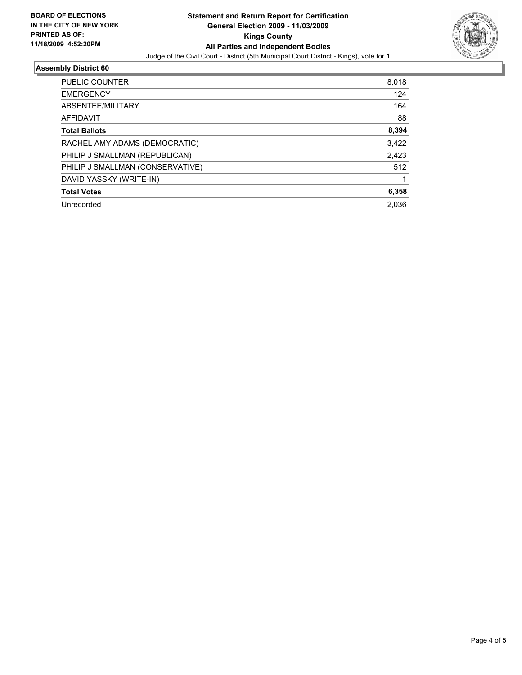

## **Assembly District 60**

| PUBLIC COUNTER                   | 8,018 |
|----------------------------------|-------|
| <b>EMERGENCY</b>                 | 124   |
| ABSENTEE/MILITARY                | 164   |
| AFFIDAVIT                        | 88    |
| <b>Total Ballots</b>             | 8,394 |
| RACHEL AMY ADAMS (DEMOCRATIC)    | 3,422 |
| PHILIP J SMALLMAN (REPUBLICAN)   | 2,423 |
| PHILIP J SMALLMAN (CONSERVATIVE) | 512   |
| DAVID YASSKY (WRITE-IN)          |       |
| <b>Total Votes</b>               | 6,358 |
| Unrecorded                       | 2.036 |